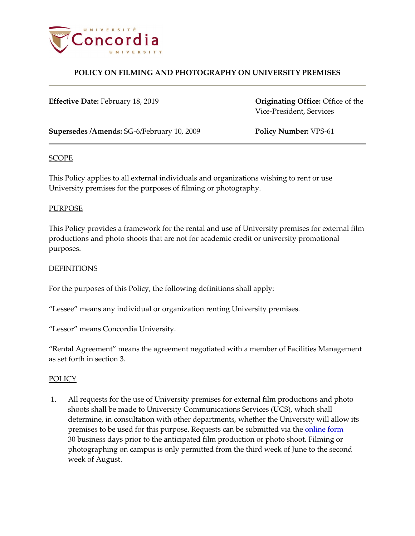

**Effective Date:** February 18, 2019 **Originating Office:** Office of the

Vice-President, Services

**Supersedes /Amends:** SG-6/February 10, 2009 **Policy Number:** VPS-61

#### SCOPE

This Policy applies to all external individuals and organizations wishing to rent or use University premises for the purposes of filming or photography.

### PURPOSE

This Policy provides a framework for the rental and use of University premises for external film productions and photo shoots that are not for academic credit or university promotional purposes.

#### **DEFINITIONS**

For the purposes of this Policy, the following definitions shall apply:

"Lessee" means any individual or organization renting University premises.

"Lessor" means Concordia University.

"Rental Agreement" means the agreement negotiated with a member of Facilities Management as set forth in section 3.

#### **POLICY**

1. All requests for the use of University premises for external film productions and photo shoots shall be made to University Communications Services (UCS), which shall determine, in consultation with other departments, whether the University will allow its premises to be used for this purpose. Requests can be submitted via the [online form](http://www.concordia.ca/news/media-relations/filmshoots.html) 30 business days prior to the anticipated film production or photo shoot. Filming or photographing on campus is only permitted from the third week of June to the second week of August.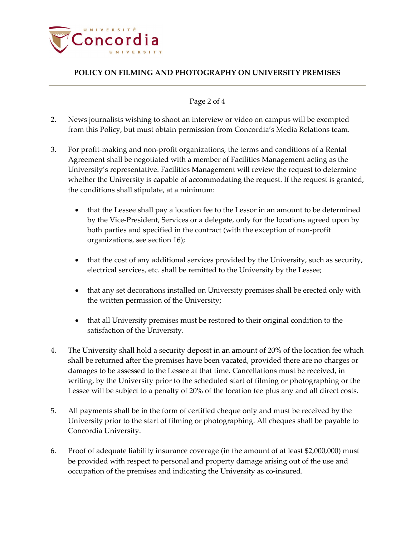

### Page 2 of 4

- 2. News journalists wishing to shoot an interview or video on campus will be exempted from this Policy, but must obtain permission from Concordia's Media Relations team.
- 3. For profit-making and non-profit organizations, the terms and conditions of a Rental Agreement shall be negotiated with a member of Facilities Management acting as the University's representative. Facilities Management will review the request to determine whether the University is capable of accommodating the request. If the request is granted, the conditions shall stipulate, at a minimum:
	- that the Lessee shall pay a location fee to the Lessor in an amount to be determined by the Vice-President, Services or a delegate, only for the locations agreed upon by both parties and specified in the contract (with the exception of non-profit organizations, see section 16);
	- that the cost of any additional services provided by the University, such as security, electrical services, etc. shall be remitted to the University by the Lessee;
	- that any set decorations installed on University premises shall be erected only with the written permission of the University;
	- that all University premises must be restored to their original condition to the satisfaction of the University.
- 4. The University shall hold a security deposit in an amount of 20% of the location fee which shall be returned after the premises have been vacated, provided there are no charges or damages to be assessed to the Lessee at that time. Cancellations must be received, in writing, by the University prior to the scheduled start of filming or photographing or the Lessee will be subject to a penalty of 20% of the location fee plus any and all direct costs.
- 5. All payments shall be in the form of certified cheque only and must be received by the University prior to the start of filming or photographing. All cheques shall be payable to Concordia University.
- 6. Proof of adequate liability insurance coverage (in the amount of at least \$2,000,000) must be provided with respect to personal and property damage arising out of the use and occupation of the premises and indicating the University as co-insured.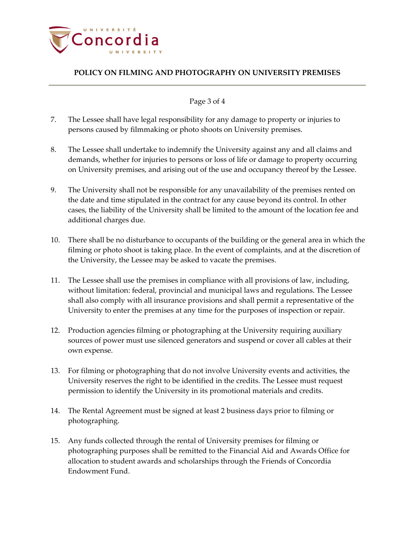

### Page 3 of 4

- 7. The Lessee shall have legal responsibility for any damage to property or injuries to persons caused by filmmaking or photo shoots on University premises.
- 8. The Lessee shall undertake to indemnify the University against any and all claims and demands, whether for injuries to persons or loss of life or damage to property occurring on University premises, and arising out of the use and occupancy thereof by the Lessee.
- 9. The University shall not be responsible for any unavailability of the premises rented on the date and time stipulated in the contract for any cause beyond its control. In other cases, the liability of the University shall be limited to the amount of the location fee and additional charges due.
- 10. There shall be no disturbance to occupants of the building or the general area in which the filming or photo shoot is taking place. In the event of complaints, and at the discretion of the University, the Lessee may be asked to vacate the premises.
- 11. The Lessee shall use the premises in compliance with all provisions of law, including, without limitation: federal, provincial and municipal laws and regulations. The Lessee shall also comply with all insurance provisions and shall permit a representative of the University to enter the premises at any time for the purposes of inspection or repair.
- 12. Production agencies filming or photographing at the University requiring auxiliary sources of power must use silenced generators and suspend or cover all cables at their own expense.
- 13. For filming or photographing that do not involve University events and activities, the University reserves the right to be identified in the credits. The Lessee must request permission to identify the University in its promotional materials and credits.
- 14. The Rental Agreement must be signed at least 2 business days prior to filming or photographing.
- 15. Any funds collected through the rental of University premises for filming or photographing purposes shall be remitted to the Financial Aid and Awards Office for allocation to student awards and scholarships through the Friends of Concordia Endowment Fund.